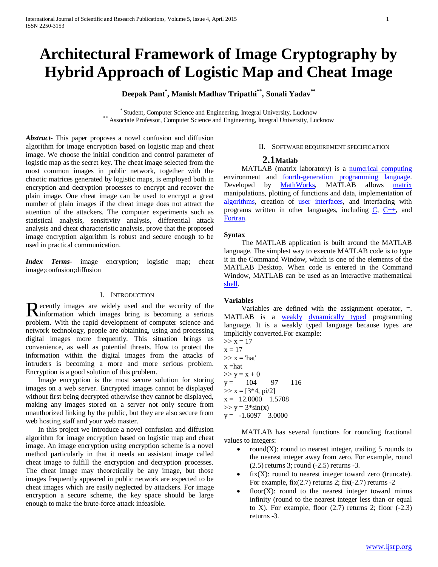# **Architectural Framework of Image Cryptography by Hybrid Approach of Logistic Map and Cheat Image**

**Deepak Pant\* , Manish Madhav Tripathi\*\*, Sonali Yadav\*\***

\* Student, Computer Science and Engineering, Integral University, Lucknow \*\* Associate Professor, Computer Science and Engineering, Integral University, Lucknow

*Abstract***-** This paper proposes a novel confusion and diffusion algorithm for image encryption based on logistic map and cheat image. We choose the initial condition and control parameter of logistic map as the secret key. The cheat image selected from the most common images in public network, together with the chaotic matrices generated by logistic maps, is employed both in encryption and decryption processes to encrypt and recover the plain image. One cheat image can be used to encrypt a great number of plain images if the cheat image does not attract the attention of the attackers. The computer experiments such as statistical analysis, sensitivity analysis, differential attack analysis and cheat characteristic analysis, prove that the proposed image encryption algorithm is robust and secure enough to be used in practical communication.

*Index Terms*- image encryption; logistic map; cheat image;confusion;diffusion

### I. INTRODUCTION

ecently images are widely used and the security of the Recently images are widely used and the security of the information which images bring is becoming a serious problem. With the rapid development of computer science and network technology, people are obtaining, using and processing digital images more frequently. This situation brings us convenience, as well as potential threats. How to protect the information within the digital images from the attacks of intruders is becoming a more and more serious problem. Encryption is a good solution of this problem.

 Image encryption is the most secure solution for storing images on a web server. Encrypted images cannot be displayed without first being decrypted otherwise they cannot be displayed, making any images stored on a server not only secure from unauthorized linking by the public, but they are also secure from web hosting staff and your web master.

 In this project we introduce a novel confusion and diffusion algorithm for image encryption based on logistic map and cheat image. An image encryption using encryption scheme is a novel method particularly in that it needs an assistant image called cheat image to fulfill the encryption and decryption processes. The cheat image may theoretically be any image, but those images frequently appeared in public network are expected to be cheat images which are easily neglected by attackers. For image encryption a secure scheme, the key space should be large enough to make the brute-force attack infeasible.

#### II. SOFTWARE REQUIREMENT SPECIFICATION

#### **2.1Matlab**

MATLAB (matrix laboratory) is a [numerical computing](http://en.wikipedia.org/wiki/Numerical_analysis) environment and <u>fourth-generation programming language</u>. Developed by [MathWorks,](http://en.wikipedia.org/wiki/MathWorks) MATLAB allows [matrix](http://en.wikipedia.org/wiki/Matrix_%28mathematics%29) manipulations, plotting of functions and data, implementation of [algorithms,](http://en.wikipedia.org/wiki/Algorithm) creation of [user interfaces,](http://en.wikipedia.org/wiki/User_interface) and interfacing with programs written in other languages, including  $C$ ,  $C++$ , and [Fortran.](http://en.wikipedia.org/wiki/Fortran)

#### **Syntax**

 The MATLAB application is built around the MATLAB language. The simplest way to execute MATLAB code is to type it in the Command Window, which is one of the elements of the MATLAB Desktop. When code is entered in the Command Window, MATLAB can be used as an interactive mathematical [shell.](http://en.wikipedia.org/wiki/Shell_%28computing%29)

#### **Variables**

Variables are defined with the assignment operator,  $=$ . MATLAB is a [weakly](http://en.wikipedia.org/wiki/Type_system#Strong_and_weak_typing) [dynamically typed](http://en.wikipedia.org/wiki/Dynamically_typed) programming language. It is a weakly typed language because types are implicitly converted.For example:

 $>> x = 17$  $x = 17$  $>> x = 'hat'$  $x = hat$  $>> y = x + 0$  $y = 104$  97 116  $>> x = [3*4, pi/2]$  $x = 12.0000$  1.5708  $>> y = 3 * sin(x)$  $y = -1.6097$  3.0000

 MATLAB has several functions for rounding fractional values to integers:

- round $(X)$ : round to nearest integer, trailing 5 rounds to the nearest integer away from zero. For example, round (2.5) returns 3; round (-2.5) returns -3.
- $fix(X)$ : round to nearest integer toward zero (truncate). For example,  $fix(2.7)$  returns 2;  $fix(-2.7)$  returns -2
- floor $(X)$ : round to the nearest integer toward minus infinity (round to the nearest integer less than or equal to X). For example, floor  $(2.7)$  returns 2; floor  $(-2.3)$ returns -3.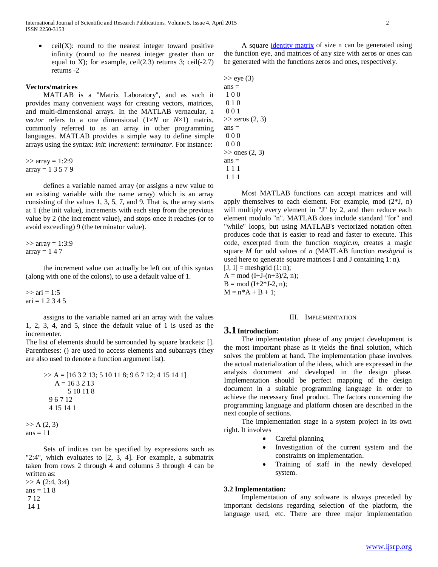$ceil(X)$ : round to the nearest integer toward positive infinity (round to the nearest integer greater than or equal to X); for example, ceil $(2.3)$  returns 3; ceil $(-2.7)$ returns -2

## **Vectors/matrices**

 MATLAB is a "Matrix Laboratory", and as such it provides many convenient ways for creating vectors, matrices, and multi-dimensional arrays. In the MATLAB vernacular, a *vector* refers to a one dimensional  $(1 \times N$  or  $N \times 1)$  matrix, commonly referred to as an array in other programming languages. MATLAB provides a simple way to define simple arrays using the syntax: *init*: *increment: terminator*. For instance:

 $\gg$  array = 1:2:9  $array = 13579$ 

 defines a variable named array (or assigns a new value to an existing variable with the name array) which is an array consisting of the values 1, 3, 5, 7, and 9. That is, the array starts at 1 (the init value), increments with each step from the previous value by 2 (the increment value), and stops once it reaches (or to avoid exceeding) 9 (the terminator value).

 $\gg$  array = 1:3:9  $array = 147$ 

 the increment value can actually be left out of this syntax (along with one of the colons), to use a default value of 1.

 $\gg$  ari = 1:5  $ari = 1 2 3 4 5$ 

 assigns to the variable named ari an array with the values 1, 2, 3, 4, and 5, since the default value of 1 is used as the incrementer.

The list of elements should be surrounded by square brackets: []. Parentheses: () are used to access elements and subarrays (they are also used to denote a function argument list).

>> A = 
$$
[16 3 2 13; 5 10 11 8; 9 6 7 12; 4 15 14 1]
$$
  
A =  $16 3 2 13$   
5 10 11 8  
9 6 7 12  
4 15 14 1

 $>> A(2, 3)$ ans  $= 11$ 

 Sets of indices can be specified by expressions such as "2:4", which evaluates to [2, 3, 4]. For example, a submatrix taken from rows 2 through 4 and columns 3 through 4 can be written as:

 $>> A (2:4, 3:4)$ ans  $= 118$ 7 12 14 1

 A square [identity matrix](http://en.wikipedia.org/wiki/Identity_matrix) of size n can be generated using the function eye, and matrices of any size with zeros or ones can be generated with the functions zeros and ones, respectively.

 $\gg$  eye (3)  $ans =$ 1 0 0 0 1 0 0 0 1  $\gg$  zeros  $(2, 3)$  $ans =$ 0 0 0 0 0 0  $\gg$  ones (2, 3)  $ans =$ 1 1 1 1 1 1

 Most MATLAB functions can accept matrices and will apply themselves to each element. For example, mod  $(2*J, n)$ will multiply every element in "J" by 2, and then reduce each element modulo "n". MATLAB does include standard "for" and "while" loops, but using MATLAB's vectorized notation often produces code that is easier to read and faster to execute. This code, excerpted from the function *magic.m*, creates a magic square *M* for odd values of *n* (MATLAB function *meshgrid* is used here to generate square matrices I and J containing 1: n).

 $[J, I] =$  meshgrid  $(1: n)$ ;  $A = mod (I+J-(n+3)/2, n);$  $B = mod (I+2*J-2, n);$  $M = n*A + B + 1;$ 

#### III. IMPLEMENTATION

#### **3.1Introduction:**

 The implementation phase of any project development is the most important phase as it yields the final solution, which solves the problem at hand. The implementation phase involves the actual materialization of the ideas, which are expressed in the analysis document and developed in the design phase. Implementation should be perfect mapping of the design document in a suitable programming language in order to achieve the necessary final product. The factors concerning the programming language and platform chosen are described in the next couple of sections.

 The implementation stage in a system project in its own right. It involves

- Careful planning
- Investigation of the current system and the constraints on implementation.
- Training of staff in the newly developed system.

#### **3.2 Implementation:**

 Implementation of any software is always preceded by important decisions regarding selection of the platform, the language used, etc. There are three major implementation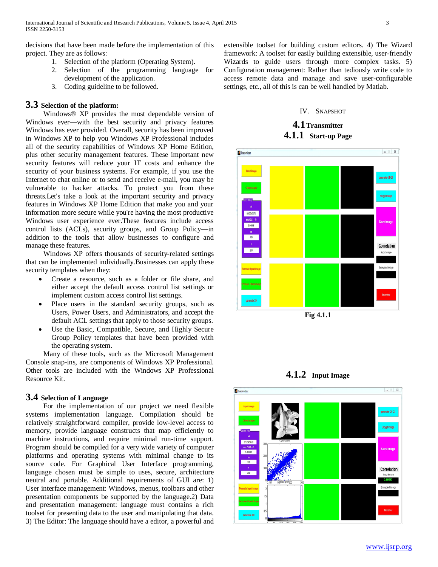decisions that have been made before the implementation of this project. They are as follows:

- 1. Selection of the platform (Operating System).
- 2. Selection of the programming language for development of the application.
- 3. Coding guideline to be followed.

## **3.3 Selection of the platform:**

 Windows® XP provides the most dependable version of Windows ever—with the best security and privacy features Windows has ever provided. Overall, security has been improved in Windows XP to help you Windows XP Professional includes all of the security capabilities of Windows XP Home Edition, plus other security management features. These important new security features will reduce your IT costs and enhance the security of your business systems. For example, if you use the Internet to chat online or to send and receive e-mail, you may be vulnerable to hacker attacks. To protect you from these threats.Let's take a look at the important security and privacy features in Windows XP Home Edition that make you and your information more secure while you're having the most productive Windows user experience ever.These features include access control lists (ACLs), security groups, and Group Policy—in addition to the tools that allow businesses to configure and manage these features.

 Windows XP offers thousands of security-related settings that can be implemented individually.Businesses can apply these security templates when they:

- Create a resource, such as a folder or file share, and either accept the default access control list settings or implement custom access control list settings.
- Place users in the standard security groups, such as Users, Power Users, and Administrators, and accept the default ACL settings that apply to those security groups.
- Use the Basic, Compatible, Secure, and Highly Secure Group Policy templates that have been provided with the operating system.

 Many of these tools, such as the Microsoft Management Console snap-ins, are components of Windows XP Professional. Other tools are included with the Windows XP Professional Resource Kit.

# **3.4 Selection of Language**

 For the implementation of our project we need flexible systems implementation language. Compilation should be relatively straightforward compiler, provide low-level access to memory, provide language constructs that map efficiently to machine instructions, and require minimal run-time support. Program should be compiled for a very wide variety of computer platforms and operating systems with minimal change to its source code. For Graphical User Interface programming, language chosen must be simple to uses, secure, architecture neutral and portable. Additional requirements of GUI are: 1) User interface management: Windows, menus, toolbars and other presentation components be supported by the language.2) Data and presentation management: language must contains a rich toolset for presenting data to the user and manipulating that data. 3) The Editor: The language should have a editor, a powerful and

extensible toolset for building custom editors. 4) The Wizard framework: A toolset for easily building extensible, user-friendly Wizards to guide users through more complex tasks. 5) Configuration management: Rather than tediously write code to access remote data and manage and save user-configurable settings, etc., all of this is can be well handled by Matlab.

#### IV. SNAPSHOT

# **4.1Transmitter 4.1.1 Start-up Page**



**Fig 4.1.1**

**4.1.2 Input Image**

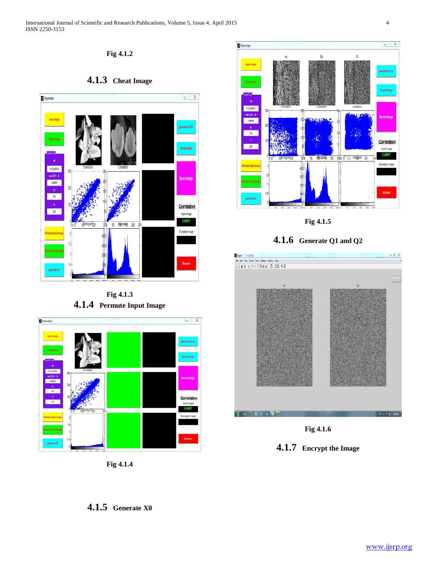**Fig 4.1.2**





**Fig 4.1.3 4.1.4 Permute Input Image**



**Fig 4.1.4**



**Fig 4.1.5**

**4.1.6 Generate Q1 and Q2**



**Fig 4.1.6**



**4.1.5 Generate X0**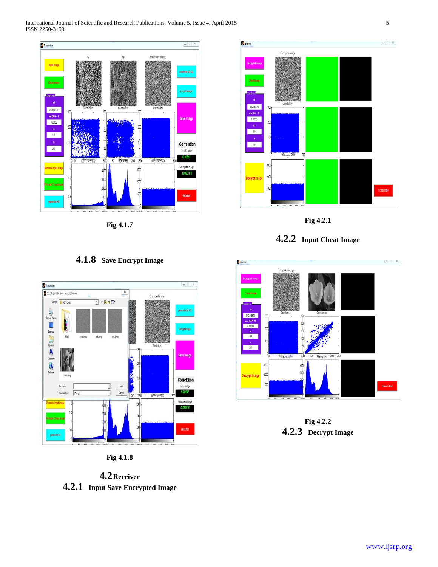

**Fig 4.1.7**

# **4.1.8 Save Encrypt Image**



**Fig 4.1.8**

**4.2Receiver 4.2.1 Input Save Encrypted Image**



**Fig 4.2.1**





**Fig 4.2.2 4.2.3 Decrypt Image**